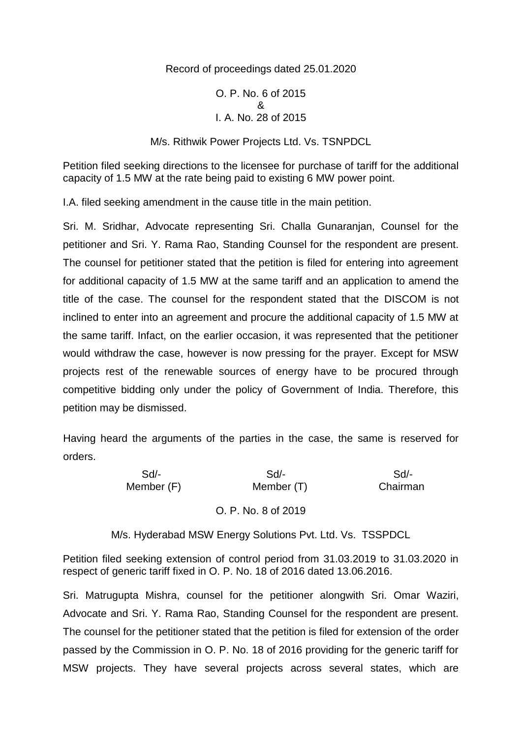# Record of proceedings dated 25.01.2020

#### O. P. No. 6 of 2015 & I. A. No. 28 of 2015

## M/s. Rithwik Power Projects Ltd. Vs. TSNPDCL

Petition filed seeking directions to the licensee for purchase of tariff for the additional capacity of 1.5 MW at the rate being paid to existing 6 MW power point.

I.A. filed seeking amendment in the cause title in the main petition.

Sri. M. Sridhar, Advocate representing Sri. Challa Gunaranjan, Counsel for the petitioner and Sri. Y. Rama Rao, Standing Counsel for the respondent are present. The counsel for petitioner stated that the petition is filed for entering into agreement for additional capacity of 1.5 MW at the same tariff and an application to amend the title of the case. The counsel for the respondent stated that the DISCOM is not inclined to enter into an agreement and procure the additional capacity of 1.5 MW at the same tariff. Infact, on the earlier occasion, it was represented that the petitioner would withdraw the case, however is now pressing for the prayer. Except for MSW projects rest of the renewable sources of energy have to be procured through competitive bidding only under the policy of Government of India. Therefore, this petition may be dismissed.

Having heard the arguments of the parties in the case, the same is reserved for orders.

> Sd/- Sd/- Sd/- Sd/- Sd/- Sd/-<br>mber (F) Member (T) Chairma Member (F) Member (T) Chairman

### O. P. No. 8 of 2019

M/s. Hyderabad MSW Energy Solutions Pvt. Ltd. Vs. TSSPDCL

Petition filed seeking extension of control period from 31.03.2019 to 31.03.2020 in respect of generic tariff fixed in O. P. No. 18 of 2016 dated 13.06.2016.

Sri. Matrugupta Mishra, counsel for the petitioner alongwith Sri. Omar Waziri, Advocate and Sri. Y. Rama Rao, Standing Counsel for the respondent are present. The counsel for the petitioner stated that the petition is filed for extension of the order passed by the Commission in O. P. No. 18 of 2016 providing for the generic tariff for MSW projects. They have several projects across several states, which are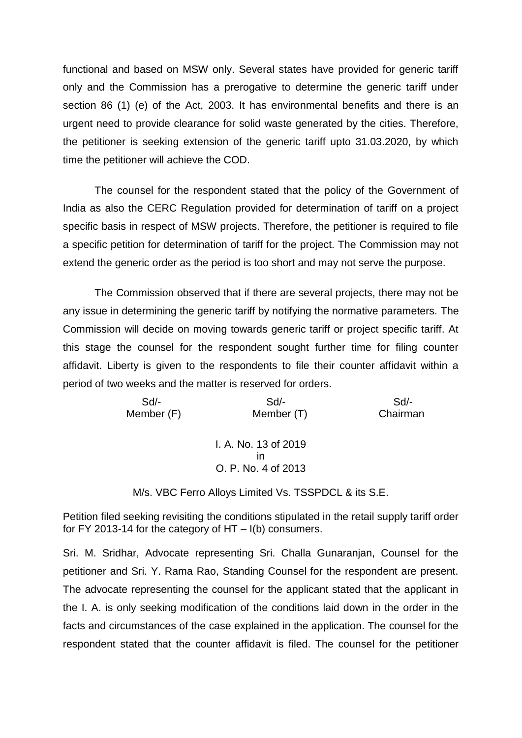functional and based on MSW only. Several states have provided for generic tariff only and the Commission has a prerogative to determine the generic tariff under section 86 (1) (e) of the Act, 2003. It has environmental benefits and there is an urgent need to provide clearance for solid waste generated by the cities. Therefore, the petitioner is seeking extension of the generic tariff upto 31.03.2020, by which time the petitioner will achieve the COD.

The counsel for the respondent stated that the policy of the Government of India as also the CERC Regulation provided for determination of tariff on a project specific basis in respect of MSW projects. Therefore, the petitioner is required to file a specific petition for determination of tariff for the project. The Commission may not extend the generic order as the period is too short and may not serve the purpose.

The Commission observed that if there are several projects, there may not be any issue in determining the generic tariff by notifying the normative parameters. The Commission will decide on moving towards generic tariff or project specific tariff. At this stage the counsel for the respondent sought further time for filing counter affidavit. Liberty is given to the respondents to file their counter affidavit within a period of two weeks and the matter is reserved for orders.

| $Sd$ -     | $Sd$ -               | $Sd$ -   |
|------------|----------------------|----------|
| Member (F) | Member (T)           | Chairman |
|            |                      |          |
|            | I. A. No. 13 of 2019 |          |
|            | ın                   |          |
|            | O. P. No. 4 of 2013  |          |
|            | .                    |          |

M/s. VBC Ferro Alloys Limited Vs. TSSPDCL & its S.E.

Petition filed seeking revisiting the conditions stipulated in the retail supply tariff order for FY 2013-14 for the category of  $HT - I(b)$  consumers.

Sri. M. Sridhar, Advocate representing Sri. Challa Gunaranjan, Counsel for the petitioner and Sri. Y. Rama Rao, Standing Counsel for the respondent are present. The advocate representing the counsel for the applicant stated that the applicant in the I. A. is only seeking modification of the conditions laid down in the order in the facts and circumstances of the case explained in the application. The counsel for the respondent stated that the counter affidavit is filed. The counsel for the petitioner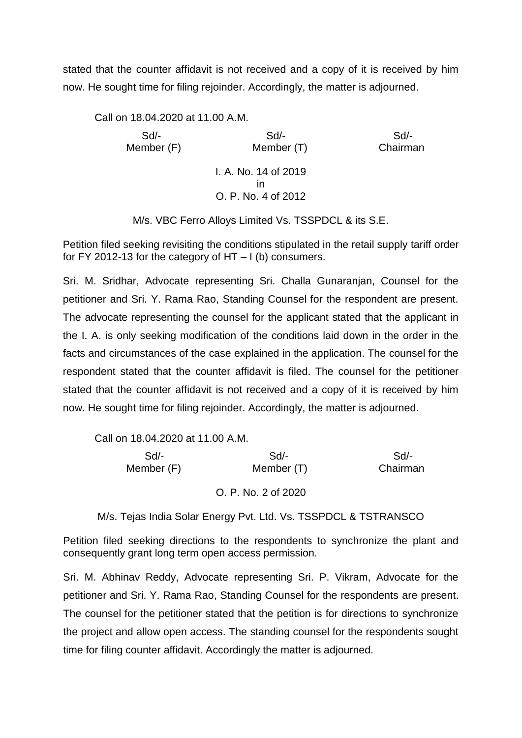stated that the counter affidavit is not received and a copy of it is received by him now. He sought time for filing rejoinder. Accordingly, the matter is adjourned.

Call on 18.04.2020 at 11.00 A.M. Sd/- Sd/- Sd/- Member (F) Member (T) Chairman I. A. No. 14 of 2019 in O. P. No. 4 of 2012

M/s. VBC Ferro Alloys Limited Vs. TSSPDCL & its S.E.

Petition filed seeking revisiting the conditions stipulated in the retail supply tariff order for FY 2012-13 for the category of  $HT - I$  (b) consumers.

Sri. M. Sridhar, Advocate representing Sri. Challa Gunaranjan, Counsel for the petitioner and Sri. Y. Rama Rao, Standing Counsel for the respondent are present. The advocate representing the counsel for the applicant stated that the applicant in the I. A. is only seeking modification of the conditions laid down in the order in the facts and circumstances of the case explained in the application. The counsel for the respondent stated that the counter affidavit is filed. The counsel for the petitioner stated that the counter affidavit is not received and a copy of it is received by him now. He sought time for filing rejoinder. Accordingly, the matter is adjourned.

Call on 18.04.2020 at 11.00 A.M.

| Sd/-     | Sd                  | Sd/-       |  |
|----------|---------------------|------------|--|
| Chairman | Member (T)          | Member (F) |  |
|          | O. P. No. 2 of 2020 |            |  |

M/s. Tejas India Solar Energy Pvt. Ltd. Vs. TSSPDCL & TSTRANSCO

Petition filed seeking directions to the respondents to synchronize the plant and consequently grant long term open access permission.

Sri. M. Abhinav Reddy, Advocate representing Sri. P. Vikram, Advocate for the petitioner and Sri. Y. Rama Rao, Standing Counsel for the respondents are present. The counsel for the petitioner stated that the petition is for directions to synchronize the project and allow open access. The standing counsel for the respondents sought time for filing counter affidavit. Accordingly the matter is adjourned.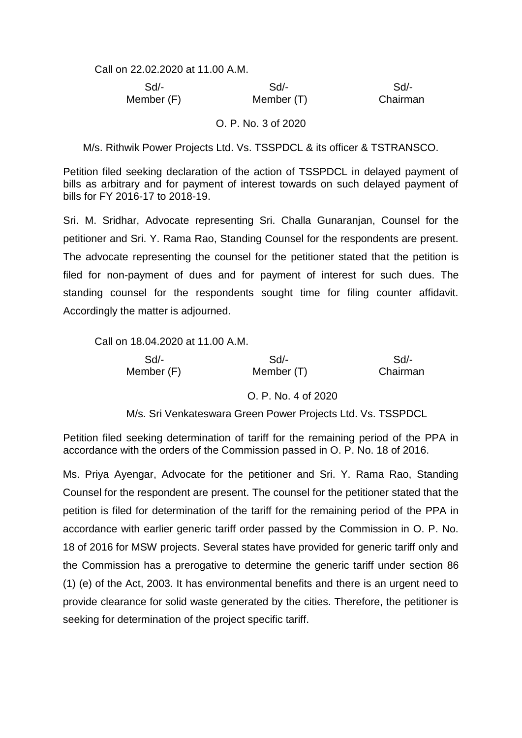Call on 22.02.2020 at 11.00 A.M.

 Sd/- Sd/- Sd/- Member (F) Member (T) Chairman

### O. P. No. 3 of 2020

M/s. Rithwik Power Projects Ltd. Vs. TSSPDCL & its officer & TSTRANSCO.

Petition filed seeking declaration of the action of TSSPDCL in delayed payment of bills as arbitrary and for payment of interest towards on such delayed payment of bills for FY 2016-17 to 2018-19.

Sri. M. Sridhar, Advocate representing Sri. Challa Gunaranjan, Counsel for the petitioner and Sri. Y. Rama Rao, Standing Counsel for the respondents are present. The advocate representing the counsel for the petitioner stated that the petition is filed for non-payment of dues and for payment of interest for such dues. The standing counsel for the respondents sought time for filing counter affidavit. Accordingly the matter is adjourned.

Call on 18.04.2020 at 11.00 A.M.

 Sd/- Sd/- Sd/- Member (F) Member (T) Chairman

O. P. No. 4 of 2020

M/s. Sri Venkateswara Green Power Projects Ltd. Vs. TSSPDCL

Petition filed seeking determination of tariff for the remaining period of the PPA in accordance with the orders of the Commission passed in O. P. No. 18 of 2016.

Ms. Priya Ayengar, Advocate for the petitioner and Sri. Y. Rama Rao, Standing Counsel for the respondent are present. The counsel for the petitioner stated that the petition is filed for determination of the tariff for the remaining period of the PPA in accordance with earlier generic tariff order passed by the Commission in O. P. No. 18 of 2016 for MSW projects. Several states have provided for generic tariff only and the Commission has a prerogative to determine the generic tariff under section 86 (1) (e) of the Act, 2003. It has environmental benefits and there is an urgent need to provide clearance for solid waste generated by the cities. Therefore, the petitioner is seeking for determination of the project specific tariff.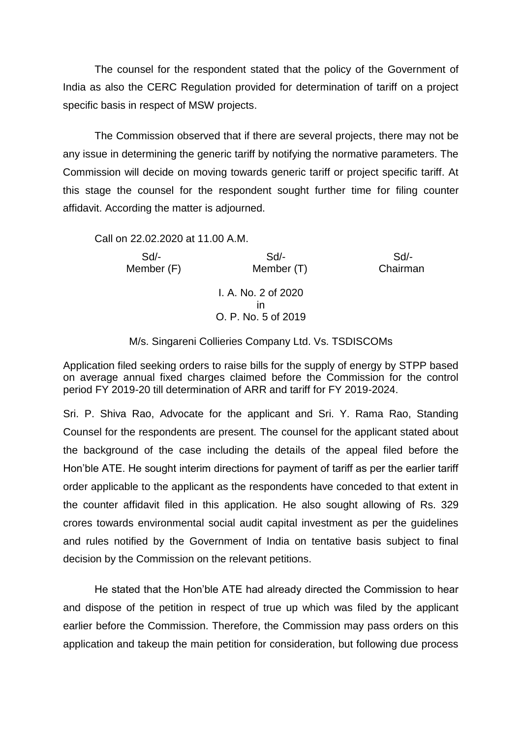The counsel for the respondent stated that the policy of the Government of India as also the CERC Regulation provided for determination of tariff on a project specific basis in respect of MSW projects.

The Commission observed that if there are several projects, there may not be any issue in determining the generic tariff by notifying the normative parameters. The Commission will decide on moving towards generic tariff or project specific tariff. At this stage the counsel for the respondent sought further time for filing counter affidavit. According the matter is adjourned.

Call on 22.02.2020 at 11.00 A.M.

 Sd/- Sd/- Sd/- Member (F) Member (T) Chairman I. A. No. 2 of 2020 in O. P. No. 5 of 2019

## M/s. Singareni Collieries Company Ltd. Vs. TSDISCOMs

Application filed seeking orders to raise bills for the supply of energy by STPP based on average annual fixed charges claimed before the Commission for the control period FY 2019-20 till determination of ARR and tariff for FY 2019-2024.

Sri. P. Shiva Rao, Advocate for the applicant and Sri. Y. Rama Rao, Standing Counsel for the respondents are present. The counsel for the applicant stated about the background of the case including the details of the appeal filed before the Hon'ble ATE. He sought interim directions for payment of tariff as per the earlier tariff order applicable to the applicant as the respondents have conceded to that extent in the counter affidavit filed in this application. He also sought allowing of Rs. 329 crores towards environmental social audit capital investment as per the guidelines and rules notified by the Government of India on tentative basis subject to final decision by the Commission on the relevant petitions.

He stated that the Hon'ble ATE had already directed the Commission to hear and dispose of the petition in respect of true up which was filed by the applicant earlier before the Commission. Therefore, the Commission may pass orders on this application and takeup the main petition for consideration, but following due process